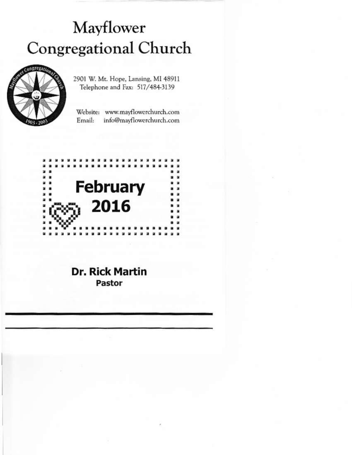# Mayflower Congregational Church



2901 W. Mt. Hope, Lansing, MI 48911 Telephone and Fax: 517/484-3139

Website: www.mayflowerchurch.com Email: info@mayflowerchurch.com



## **Dr. Rick Martin** Pastor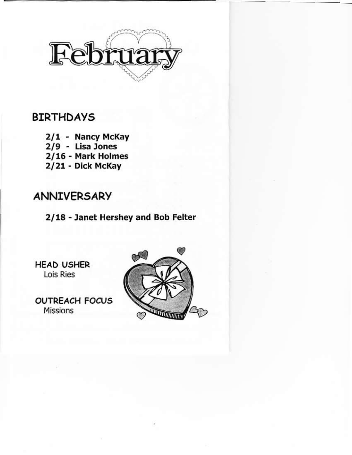

## BIRTHDAYS

2/1 - Nancy McKay 2/9 - Lisa Jones 2/16 - Mark Holmes 2/21 - Dick McKay

# **ANNIVERSARY**

2/18 - Janet Hershey and Bob Felter

HEAD USHER Lois Ries

**OUTREACH FOCUS** Missions

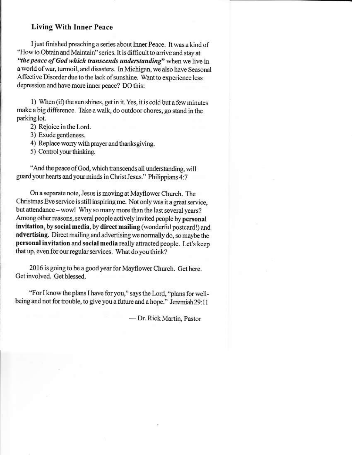#### **Living With Inner Peace**

I just finished preaching a series about Inner Peace. It was a kind of "How to Obtain and Maintain" series. It is difficult to arrive and stay at "the peace of God which transcends understanding" when we live in a world of war, turmoil, and disasters. In Michigan, we also have Seasonal Affective Disorder due to the lack of sunshine. Want to experience less depression and have more inner peace? DO this:

1) When (if) the sun shines, get in it. Yes, it is cold but a few minutes make a big difference. Take a walk, do outdoor chores, go stand in the parking lot.

- 2) Rejoice in the Lord.
- 3) Exude gentleness.
- 4) Replace worry with prayer and thanksgiving.
- 5) Control your thinking.

"And the peace of God, which transcends all understanding, will guard your hearts and your minds in Christ Jesus." Philippians 4:7

On a separate note, Jesus is moving at Mayflower Church. The Christmas Eve service is still inspiring me. Not only was it a great service, but attendance - wow! Why so many more than the last several years? Among other reasons, several people actively invited people by personal invitation, by social media, by direct mailing (wonderful postcard!) and advertising. Direct mailing and advertising we normally do, so maybe the personal invitation and social media really attracted people. Let's keep that up, even for our regular services. What do you think?

2016 is going to be a good year for Mayflower Church. Get here. Get involved. Get blessed.

"For I know the plans I have for you," says the Lord, "plans for wellbeing and not for trouble, to give you a future and a hope." Jeremiah 29:11

- Dr. Rick Martin, Pastor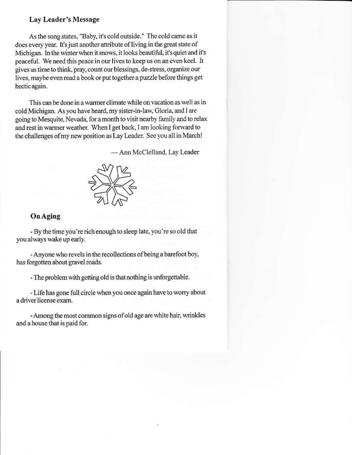#### Lay Leader's Message

As the song states, "Baby, it's cold outside." The cold came as it does every year. It's just another attribute of living in the great state of Michigan. In the winter when it snows, it looks beautiful, it's quiet and it's peaceful. We need this peace in our lives to keep us on an even keel. It gives us time to think, pray, count our blessings, de-stress, organize our lives, maybe even read a book or put together a puzzle before things get hectic again.

This can be done in a warmer climate while on vacation as well as in cold Michigan. As you have heard, my sister-in-law, Gloria, and I are going to Mesquite, Nevada, for a month to visit nearby family and to relax and rest in warmer weather. When I get back, I am looking forward to the challenges of my new position as Lay Leader. See you all in March!

- Ann McClelland, Lay Leader



#### **On Aging**

- By the time you're rich enough to sleep late, you're so old that you always wake up early.

- Anyone who revels in the recollections of being a barefoot boy, has forgotten about gravel roads.

- The problem with getting old is that nothing is unforgettable.

- Life has gone full circle when you once again have to worry about a driver license exam.

- Among the most common signs of old age are white hair, wrinkles and a house that is paid for.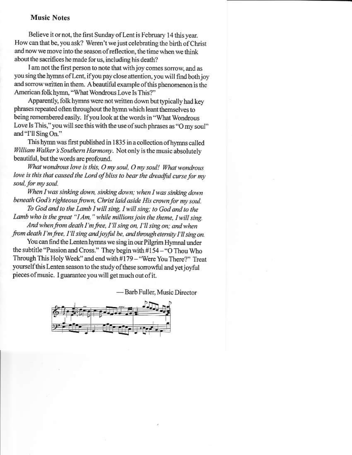#### **Music Notes**

Believe it or not, the first Sunday of Lent is February 14 this year. How can that be, you ask? Weren't we just celebrating the birth of Christ and now we move into the season of reflection, the time when we think about the sacrifices he made for us, including his death?

I am not the first person to note that with joy comes sorrow, and as you sing the hymns of Lent, if you pay close attention, you will find both joy and sorrow written in them. A beautiful example of this phenomenon is the American folk hymn, "What Wondrous Love Is This?"

Apparently, folk hymns were not written down but typically had key phrases repeated often throughout the hymn which leant themselves to being remembered easily. If you look at the words in "What Wondrous Love Is This," you will see this with the use of such phrases as "O my soul" and "I'll Sing On."

This hymn was first published in 1835 in a collection of hymns called William Walker's Southern Harmony. Not only is the music absolutely beautiful, but the words are profound.

What wondrous love is this, O my soul, O my soul! What wondrous love is this that caused the Lord of bliss to bear the dreadful curse for my soul, for my soul.

When I was sinking down, sinking down; when I was sinking down beneath God's righteous frown, Christ laid aside His crown for my soul.

To God and to the Lamb I will sing, I will sing; to God and to the Lamb who is the great "I Am," while millions join the theme, I will sing. And when from death I'm free, I'll sing on, I'll sing on; and when

from death I'm free, I'll sing and joyful be, and through eternity I'll sing on.

You can find the Lenten hymns we sing in our Pilgrim Hymnal under the subtitle "Passion and Cross." They begin with #154 - "O Thou Who Through This Holy Week" and end with #179 - "Were You There?" Treat yourself this Lenten season to the study of these sorrowful and yet joyful pieces of music. I guarantee you will get much out of it.

-Barb Fuller, Music Director

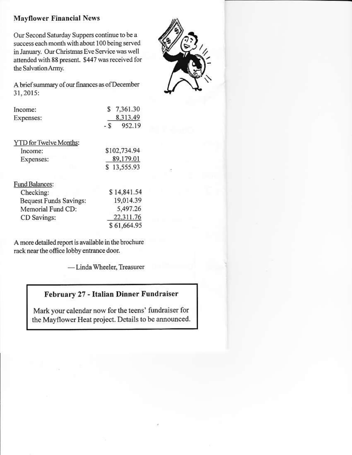### **Mayflower Financial News**

Our Second Saturday Suppers continue to be a success each month with about 100 being served in January. Our Christmas Eve Service was well attended with 88 present. \$447 was received for the Salvation Army.



| Income:                | 7,361.30      |
|------------------------|---------------|
| Expenses:              | 8,313.49      |
|                        | 952.19<br>- S |
| YTD for Twelve Months: |               |
| Income:                | \$102,734.94  |
| Expenses:              | 89,179.01     |
|                        | 13,555.93     |
|                        |               |

| Fund Balances:                |             |
|-------------------------------|-------------|
| Checking:                     | \$14,841.54 |
| <b>Bequest Funds Savings:</b> | 19.014.39   |
| Memorial Fund CD:             | 5,497.26    |
| CD Savings:                   | 22,311.76   |
|                               | \$61,664.95 |

A more detailed report is available in the brochure rack near the office lobby entrance door.

-Linda Wheeler, Treasurer

## February 27 - Italian Dinner Fundraiser

Mark your calendar now for the teens' fundraiser for the Mayflower Heat project. Details to be announced.

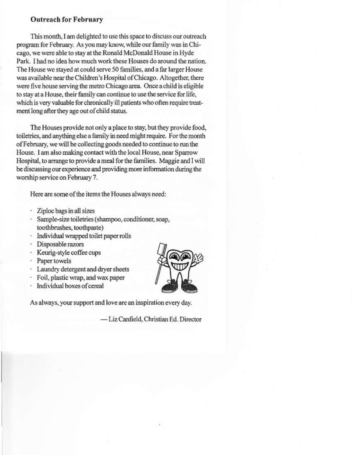#### **Outreach for February**

This month, I am delighted to use this space to discuss our outreach program for February. As you may know, while our family was in Chicago, we were able to stay at the Ronald McDonald House in Hyde Park. I had no idea how much work these Houses do around the nation. The House we staved at could serve 50 families, and a far larger House was available near the Children's Hospital of Chicago. Altogether, there were five house serving the metro Chicago area. Once a child is eligible to stay at a House, their family can continue to use the service for life, which is very valuable for chronically ill patients who often require treatment long after they age out of child status.

The Houses provide not only a place to stay, but they provide food, toiletries, and anything else a family in need might require. For the month of February, we will be collecting goods needed to continue to run the House. I am also making contact with the local House, near Sparrow Hospital, to arrange to provide a meal for the families. Maggie and I will be discussing our experience and providing more information during the worship service on February 7.

Here are some of the items the Houses always need:

- · Ziploc bags in all sizes
- · Sample-size toiletries (shampoo, conditioner, soap, toothbrushes, toothpaste)
- · Individual wrapped toilet paper rolls
- · Disposable razors
- · Keurig-style coffee cups
- · Paper towels
- · Laundry detergent and dryer sheets
- · Foil, plastic wrap, and wax paper
- · Individual boxes of cereal



As always, your support and love are an inspiration every day.

- Liz Canfield, Christian Ed. Director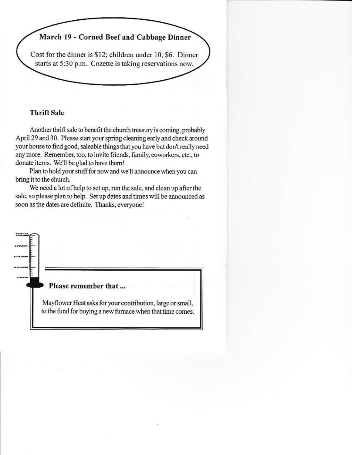

#### **Thrift Sale**

Another thrift sale to benefit the church treasury is coming, probably April 29 and 30. Please start your spring cleaning early and check around your house to find good, saleable things that you have but don't really need any more. Remember, too, to invite friends, family, coworkers, etc., to donate items. We'll be glad to have them!

Plan to hold your stuff for now and we'll announce when you can bring it to the church.

We need a lot of help to set up, run the sale, and clean up after the sale, so please plan to help. Set up dates and times will be announced as soon as the dates are definite. Thanks, everyone!

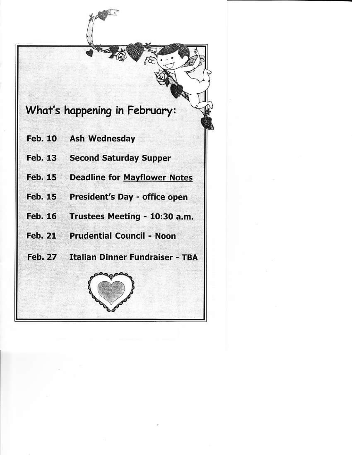